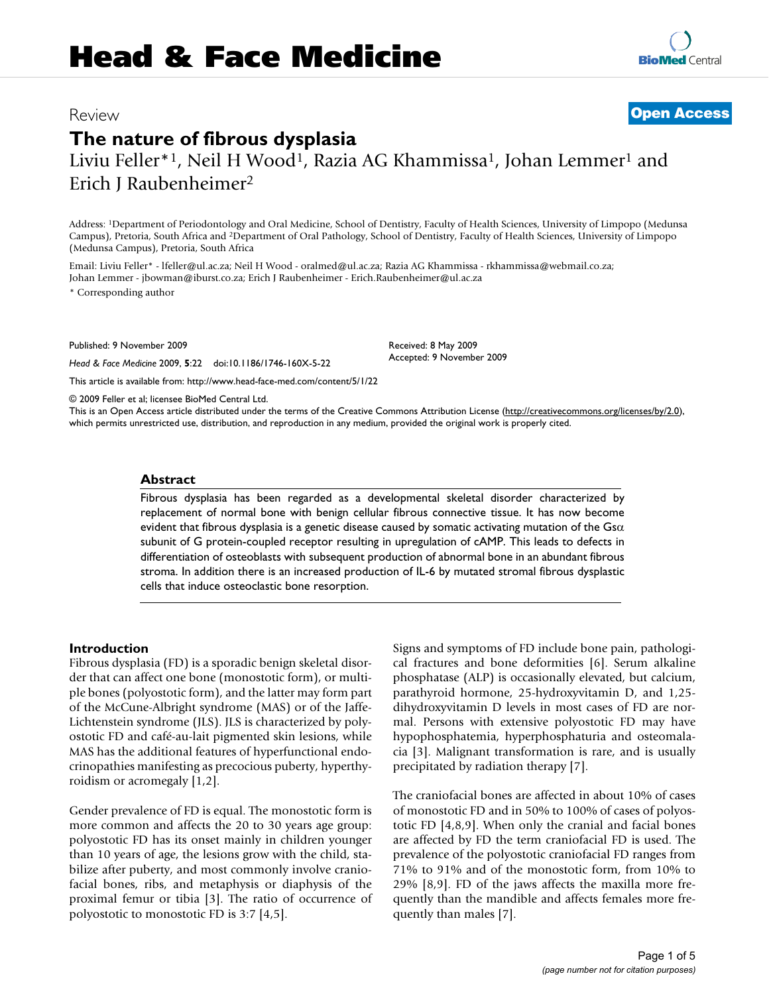## Review **[Open Access](http://www.biomedcentral.com/info/about/charter/)**

# **The nature of fibrous dysplasia**

Liviu Feller\*<sup>1</sup>, Neil H Wood<sup>1</sup>, Razia AG Khammissa<sup>1</sup>, Johan Lemmer<sup>1</sup> and Erich J Raubenheimer2

Address: 1Department of Periodontology and Oral Medicine, School of Dentistry, Faculty of Health Sciences, University of Limpopo (Medunsa Campus), Pretoria, South Africa and 2Department of Oral Pathology, School of Dentistry, Faculty of Health Sciences, University of Limpopo (Medunsa Campus), Pretoria, South Africa

Email: Liviu Feller\* - lfeller@ul.ac.za; Neil H Wood - oralmed@ul.ac.za; Razia AG Khammissa - rkhammissa@webmail.co.za; Johan Lemmer - jbowman@iburst.co.za; Erich J Raubenheimer - Erich.Raubenheimer@ul.ac.za

\* Corresponding author

Published: 9 November 2009

*Head & Face Medicine* 2009, **5**:22 doi:10.1186/1746-160X-5-22

[This article is available from: http://www.head-face-med.com/content/5/1/22](http://www.head-face-med.com/content/5/1/22)

© 2009 Feller et al; licensee BioMed Central Ltd.

This is an Open Access article distributed under the terms of the Creative Commons Attribution License [\(http://creativecommons.org/licenses/by/2.0\)](http://creativecommons.org/licenses/by/2.0), which permits unrestricted use, distribution, and reproduction in any medium, provided the original work is properly cited.

Received: 8 May 2009 Accepted: 9 November 2009

#### **Abstract**

Fibrous dysplasia has been regarded as a developmental skeletal disorder characterized by replacement of normal bone with benign cellular fibrous connective tissue. It has now become evident that fibrous dysplasia is a genetic disease caused by somatic activating mutation of the Gs $\alpha$ subunit of G protein-coupled receptor resulting in upregulation of cAMP. This leads to defects in differentiation of osteoblasts with subsequent production of abnormal bone in an abundant fibrous stroma. In addition there is an increased production of IL-6 by mutated stromal fibrous dysplastic cells that induce osteoclastic bone resorption.

#### **Introduction**

Fibrous dysplasia (FD) is a sporadic benign skeletal disorder that can affect one bone (monostotic form), or multiple bones (polyostotic form), and the latter may form part of the McCune-Albright syndrome (MAS) or of the Jaffe-Lichtenstein syndrome (JLS). JLS is characterized by polyostotic FD and café-au-lait pigmented skin lesions, while MAS has the additional features of hyperfunctional endocrinopathies manifesting as precocious puberty, hyperthyroidism or acromegaly [1,2].

Gender prevalence of FD is equal. The monostotic form is more common and affects the 20 to 30 years age group: polyostotic FD has its onset mainly in children younger than 10 years of age, the lesions grow with the child, stabilize after puberty, and most commonly involve craniofacial bones, ribs, and metaphysis or diaphysis of the proximal femur or tibia [3]. The ratio of occurrence of polyostotic to monostotic FD is 3:7 [4,5].

Signs and symptoms of FD include bone pain, pathological fractures and bone deformities [6]. Serum alkaline phosphatase (ALP) is occasionally elevated, but calcium, parathyroid hormone, 25-hydroxyvitamin D, and 1,25 dihydroxyvitamin D levels in most cases of FD are normal. Persons with extensive polyostotic FD may have hypophosphatemia, hyperphosphaturia and osteomalacia [3]. Malignant transformation is rare, and is usually precipitated by radiation therapy [7].

The craniofacial bones are affected in about 10% of cases of monostotic FD and in 50% to 100% of cases of polyostotic FD [4,8,9]. When only the cranial and facial bones are affected by FD the term craniofacial FD is used. The prevalence of the polyostotic craniofacial FD ranges from 71% to 91% and of the monostotic form, from 10% to 29% [8,9]. FD of the jaws affects the maxilla more frequently than the mandible and affects females more frequently than males [7].

**[BioMed](http://www.biomedcentral.com/)** Central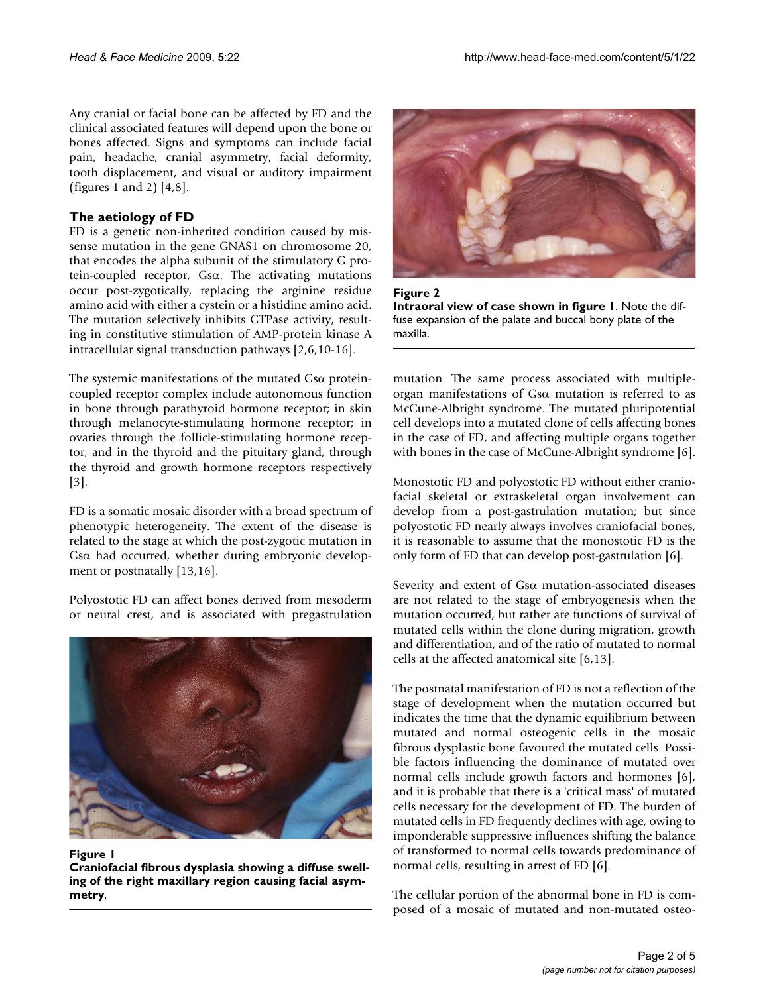Any cranial or facial bone can be affected by FD and the clinical associated features will depend upon the bone or bones affected. Signs and symptoms can include facial pain, headache, cranial asymmetry, facial deformity, tooth displacement, and visual or auditory impairment (figures 1 and 2) [4,8].

## **The aetiology of FD**

FD is a genetic non-inherited condition caused by missense mutation in the gene GNAS1 on chromosome 20, that encodes the alpha subunit of the stimulatory G protein-coupled receptor, Gsα. The activating mutations occur post-zygotically, replacing the arginine residue amino acid with either a cystein or a histidine amino acid. The mutation selectively inhibits GTPase activity, resulting in constitutive stimulation of AMP-protein kinase A intracellular signal transduction pathways [2,6,10-16].

The systemic manifestations of the mutated Gsα proteincoupled receptor complex include autonomous function in bone through parathyroid hormone receptor; in skin through melanocyte-stimulating hormone receptor; in ovaries through the follicle-stimulating hormone receptor; and in the thyroid and the pituitary gland, through the thyroid and growth hormone receptors respectively [3].

FD is a somatic mosaic disorder with a broad spectrum of phenotypic heterogeneity. The extent of the disease is related to the stage at which the post-zygotic mutation in Gsα had occurred, whether during embryonic development or postnatally [13,16].

Polyostotic FD can affect bones derived from mesoderm or neural crest, and is associated with pregastrulation



#### Figure 1

**Craniofacial fibrous dysplasia showing a diffuse swelling of the right maxillary region causing facial asymmetry**.



**Figure 2 Intraoral view of case shown in figure 1**. Note the diffuse expansion of the palate and buccal bony plate of the maxilla.

mutation. The same process associated with multipleorgan manifestations of Gsα mutation is referred to as McCune-Albright syndrome. The mutated pluripotential cell develops into a mutated clone of cells affecting bones in the case of FD, and affecting multiple organs together with bones in the case of McCune-Albright syndrome [6].

Monostotic FD and polyostotic FD without either craniofacial skeletal or extraskeletal organ involvement can develop from a post-gastrulation mutation; but since polyostotic FD nearly always involves craniofacial bones, it is reasonable to assume that the monostotic FD is the only form of FD that can develop post-gastrulation [6].

Severity and extent of Gsα mutation-associated diseases are not related to the stage of embryogenesis when the mutation occurred, but rather are functions of survival of mutated cells within the clone during migration, growth and differentiation, and of the ratio of mutated to normal cells at the affected anatomical site [6,13].

The postnatal manifestation of FD is not a reflection of the stage of development when the mutation occurred but indicates the time that the dynamic equilibrium between mutated and normal osteogenic cells in the mosaic fibrous dysplastic bone favoured the mutated cells. Possible factors influencing the dominance of mutated over normal cells include growth factors and hormones [6], and it is probable that there is a 'critical mass' of mutated cells necessary for the development of FD. The burden of mutated cells in FD frequently declines with age, owing to imponderable suppressive influences shifting the balance of transformed to normal cells towards predominance of normal cells, resulting in arrest of FD [6].

The cellular portion of the abnormal bone in FD is composed of a mosaic of mutated and non-mutated osteo-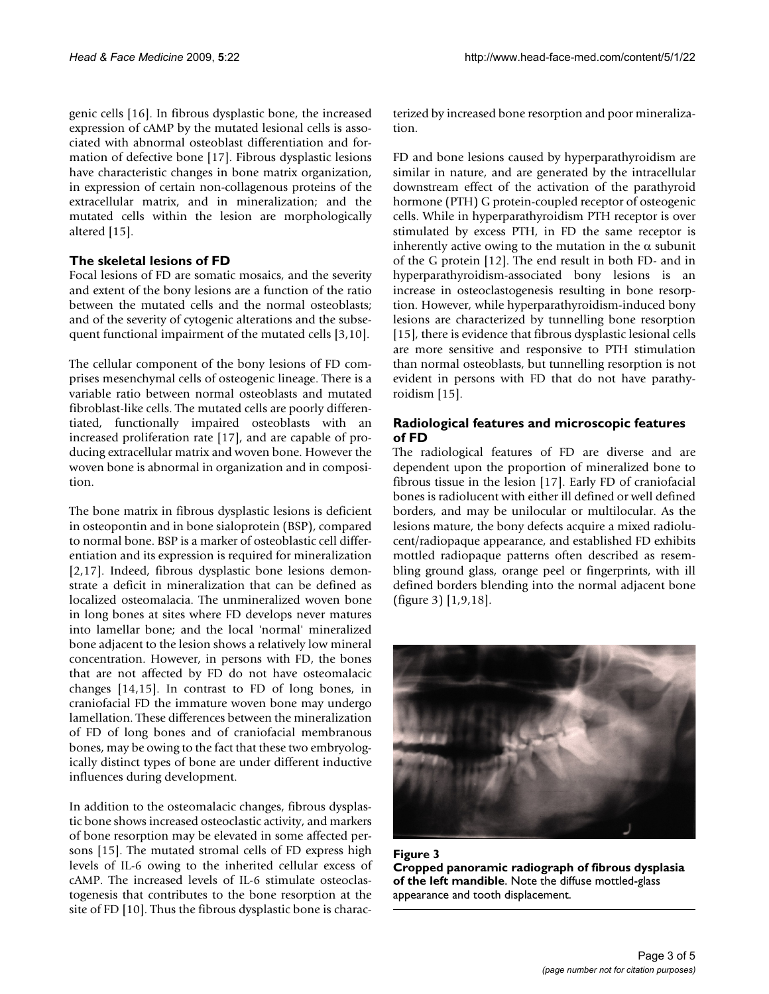genic cells [16]. In fibrous dysplastic bone, the increased expression of cAMP by the mutated lesional cells is associated with abnormal osteoblast differentiation and formation of defective bone [17]. Fibrous dysplastic lesions have characteristic changes in bone matrix organization, in expression of certain non-collagenous proteins of the extracellular matrix, and in mineralization; and the mutated cells within the lesion are morphologically altered [15].

## **The skeletal lesions of FD**

Focal lesions of FD are somatic mosaics, and the severity and extent of the bony lesions are a function of the ratio between the mutated cells and the normal osteoblasts; and of the severity of cytogenic alterations and the subsequent functional impairment of the mutated cells [3,10].

The cellular component of the bony lesions of FD comprises mesenchymal cells of osteogenic lineage. There is a variable ratio between normal osteoblasts and mutated fibroblast-like cells. The mutated cells are poorly differentiated, functionally impaired osteoblasts with an increased proliferation rate [17], and are capable of producing extracellular matrix and woven bone. However the woven bone is abnormal in organization and in composition.

The bone matrix in fibrous dysplastic lesions is deficient in osteopontin and in bone sialoprotein (BSP), compared to normal bone. BSP is a marker of osteoblastic cell differentiation and its expression is required for mineralization [2,17]. Indeed, fibrous dysplastic bone lesions demonstrate a deficit in mineralization that can be defined as localized osteomalacia. The unmineralized woven bone in long bones at sites where FD develops never matures into lamellar bone; and the local 'normal' mineralized bone adjacent to the lesion shows a relatively low mineral concentration. However, in persons with FD, the bones that are not affected by FD do not have osteomalacic changes [14,15]. In contrast to FD of long bones, in craniofacial FD the immature woven bone may undergo lamellation. These differences between the mineralization of FD of long bones and of craniofacial membranous bones, may be owing to the fact that these two embryologically distinct types of bone are under different inductive influences during development.

In addition to the osteomalacic changes, fibrous dysplastic bone shows increased osteoclastic activity, and markers of bone resorption may be elevated in some affected persons [15]. The mutated stromal cells of FD express high levels of IL-6 owing to the inherited cellular excess of cAMP. The increased levels of IL-6 stimulate osteoclastogenesis that contributes to the bone resorption at the site of FD [10]. Thus the fibrous dysplastic bone is characterized by increased bone resorption and poor mineralization.

FD and bone lesions caused by hyperparathyroidism are similar in nature, and are generated by the intracellular downstream effect of the activation of the parathyroid hormone (PTH) G protein-coupled receptor of osteogenic cells. While in hyperparathyroidism PTH receptor is over stimulated by excess PTH, in FD the same receptor is inherently active owing to the mutation in the  $\alpha$  subunit of the G protein [12]. The end result in both FD- and in hyperparathyroidism-associated bony lesions is an increase in osteoclastogenesis resulting in bone resorption. However, while hyperparathyroidism-induced bony lesions are characterized by tunnelling bone resorption [15], there is evidence that fibrous dysplastic lesional cells are more sensitive and responsive to PTH stimulation than normal osteoblasts, but tunnelling resorption is not evident in persons with FD that do not have parathyroidism [15].

## **Radiological features and microscopic features of FD**

The radiological features of FD are diverse and are dependent upon the proportion of mineralized bone to fibrous tissue in the lesion [17]. Early FD of craniofacial bones is radiolucent with either ill defined or well defined borders, and may be unilocular or multilocular. As the lesions mature, the bony defects acquire a mixed radiolucent/radiopaque appearance, and established FD exhibits mottled radiopaque patterns often described as resembling ground glass, orange peel or fingerprints, with ill defined borders blending into the normal adjacent bone (figure 3) [1,9,18].



Figure 3 **Cropped panoramic radiograph of fibrous dysplasia of the left mandible**. Note the diffuse mottled-glass appearance and tooth displacement.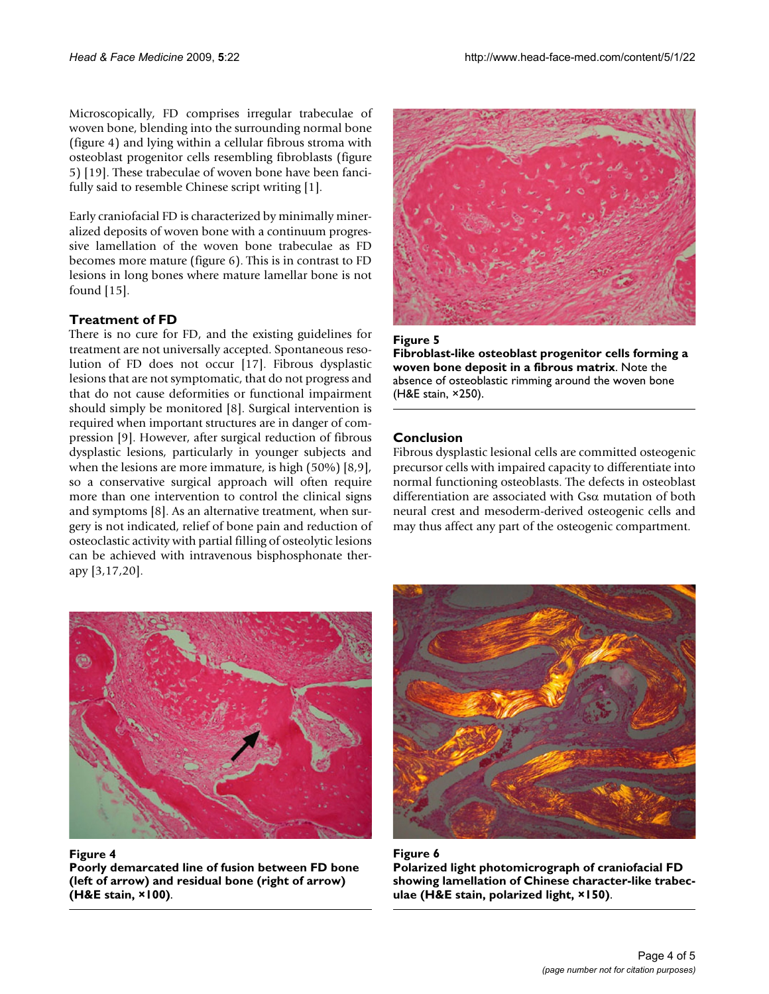Microscopically, FD comprises irregular trabeculae of woven bone, blending into the surrounding normal bone (figure 4) and lying within a cellular fibrous stroma with osteoblast progenitor cells resembling fibroblasts (figure 5) [19]. These trabeculae of woven bone have been fancifully said to resemble Chinese script writing [1].

Early craniofacial FD is characterized by minimally mineralized deposits of woven bone with a continuum progressive lamellation of the woven bone trabeculae as FD becomes more mature (figure 6). This is in contrast to FD lesions in long bones where mature lamellar bone is not found [15].

## **Treatment of FD**

There is no cure for FD, and the existing guidelines for treatment are not universally accepted. Spontaneous resolution of FD does not occur [17]. Fibrous dysplastic lesions that are not symptomatic, that do not progress and that do not cause deformities or functional impairment should simply be monitored [8]. Surgical intervention is required when important structures are in danger of compression [9]. However, after surgical reduction of fibrous dysplastic lesions, particularly in younger subjects and when the lesions are more immature, is high (50%) [8,9], so a conservative surgical approach will often require more than one intervention to control the clinical signs and symptoms [8]. As an alternative treatment, when surgery is not indicated, relief of bone pain and reduction of osteoclastic activity with partial filling of osteolytic lesions can be achieved with intravenous bisphosphonate therapy [3,17,20].





**Fibroblast-like osteoblast progenitor cells forming a woven bone deposit in a fibrous matrix**. Note the absence of osteoblastic rimming around the woven bone (H&E stain, ×250).

## **Conclusion**

Fibrous dysplastic lesional cells are committed osteogenic precursor cells with impaired capacity to differentiate into normal functioning osteoblasts. The defects in osteoblast differentiation are associated with Gsα mutation of both neural crest and mesoderm-derived osteogenic cells and may thus affect any part of the osteogenic compartment.



Figure 4

**Poorly demarcated line of fusion between FD bone (left of arrow) and residual bone (right of arrow) (H&E stain, ×100)**.



Figure 6 **Polarized light photomicrograph of craniofacial FD showing lamellation of Chinese character-like trabeculae (H&E stain, polarized light, ×150)**.